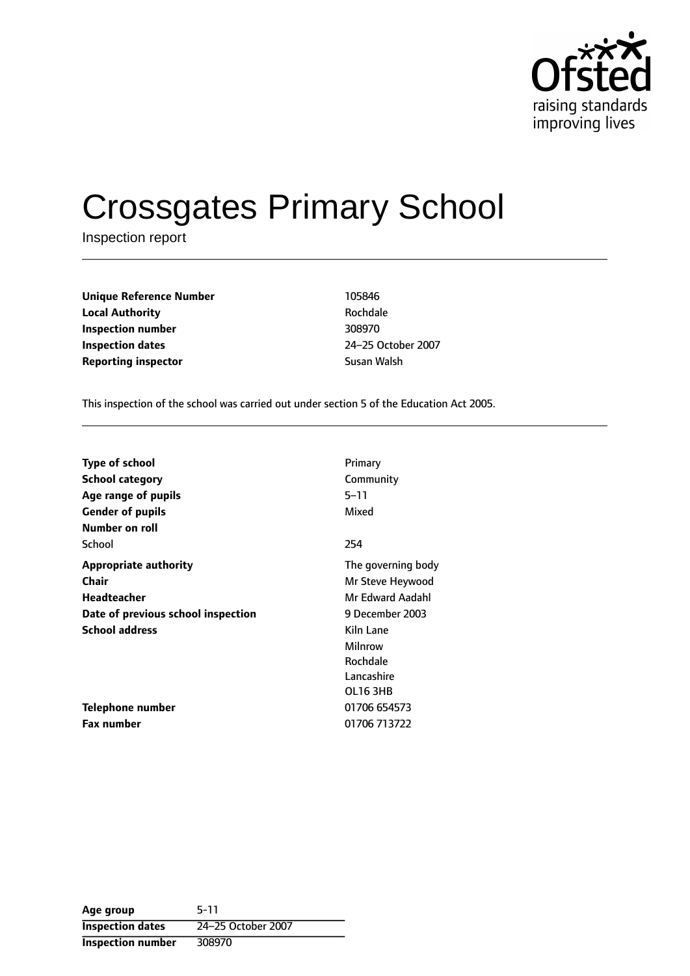

# Crossgates Primary School

Inspection report

| <b>Unique Reference Number</b> | 105846      |
|--------------------------------|-------------|
| <b>Local Authority</b>         | Rochdale    |
| Inspection number              | 308970      |
| <b>Inspection dates</b>        | 24-25 Octob |
| <b>Reporting inspector</b>     | Susan Walsh |

**Rochdale Inspection dates** 2425 October 2007

This inspection of the school was carried out under section 5 of the Education Act 2005.

| <b>Type of school</b>              | Primary            |
|------------------------------------|--------------------|
| School category                    | Community          |
| Age range of pupils                | 5–11               |
| <b>Gender of pupils</b>            | Mixed              |
| Number on roll                     |                    |
| School                             | 254                |
| <b>Appropriate authority</b>       | The governing body |
| Chair                              | Mr Steve Heywood   |
| Headteacher                        | Mr Edward Aadahl   |
| Date of previous school inspection | 9 December 2003    |
| <b>School address</b>              | Kiln Lane          |
|                                    | Milnrow            |
|                                    | Rochdale           |
|                                    | Lancashire         |
|                                    | OL163HB            |
| Telephone number                   | 01706 654573       |
| <b>Fax number</b>                  | 01706 713722       |

**Age group** 5-11 **Inspection dates** 24-25 October 2007 **Inspection number** 308970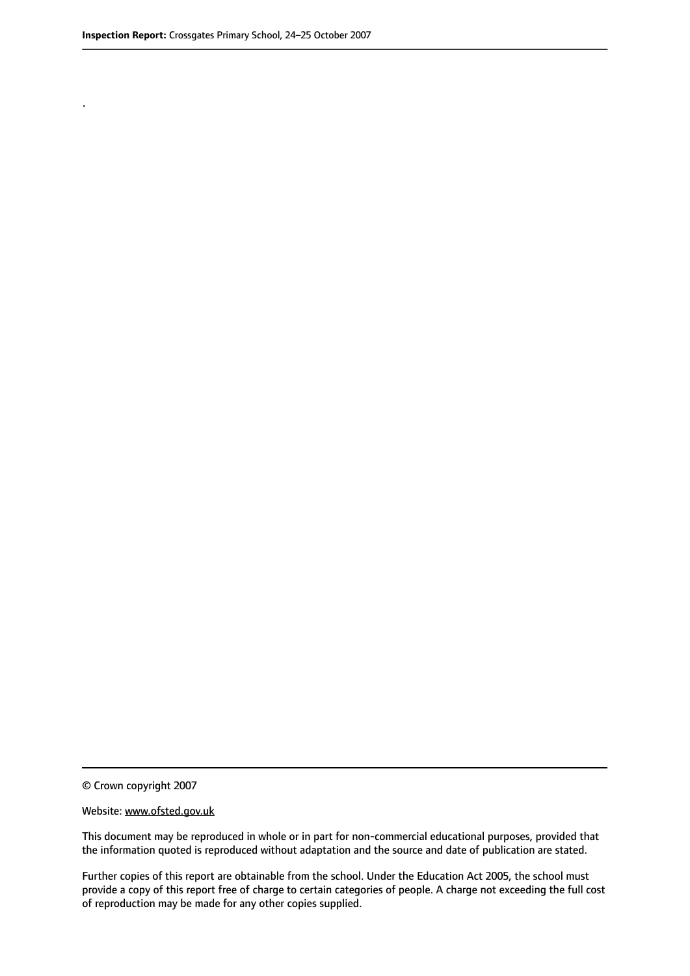.

© Crown copyright 2007

#### Website: www.ofsted.gov.uk

This document may be reproduced in whole or in part for non-commercial educational purposes, provided that the information quoted is reproduced without adaptation and the source and date of publication are stated.

Further copies of this report are obtainable from the school. Under the Education Act 2005, the school must provide a copy of this report free of charge to certain categories of people. A charge not exceeding the full cost of reproduction may be made for any other copies supplied.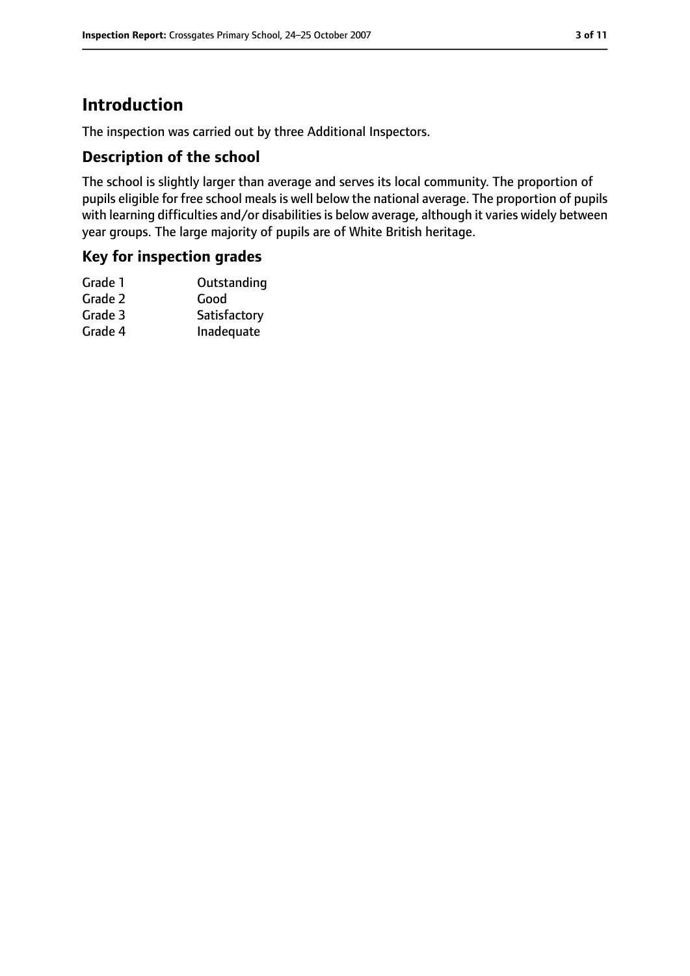# **Introduction**

The inspection was carried out by three Additional Inspectors.

#### **Description of the school**

The school is slightly larger than average and serves its local community. The proportion of pupils eligible for free school meals is well below the national average. The proportion of pupils with learning difficulties and/or disabilities is below average, although it varies widely between year groups. The large majority of pupils are of White British heritage.

#### **Key for inspection grades**

| Outstanding  |
|--------------|
| Good         |
| Satisfactory |
| Inadequate   |
|              |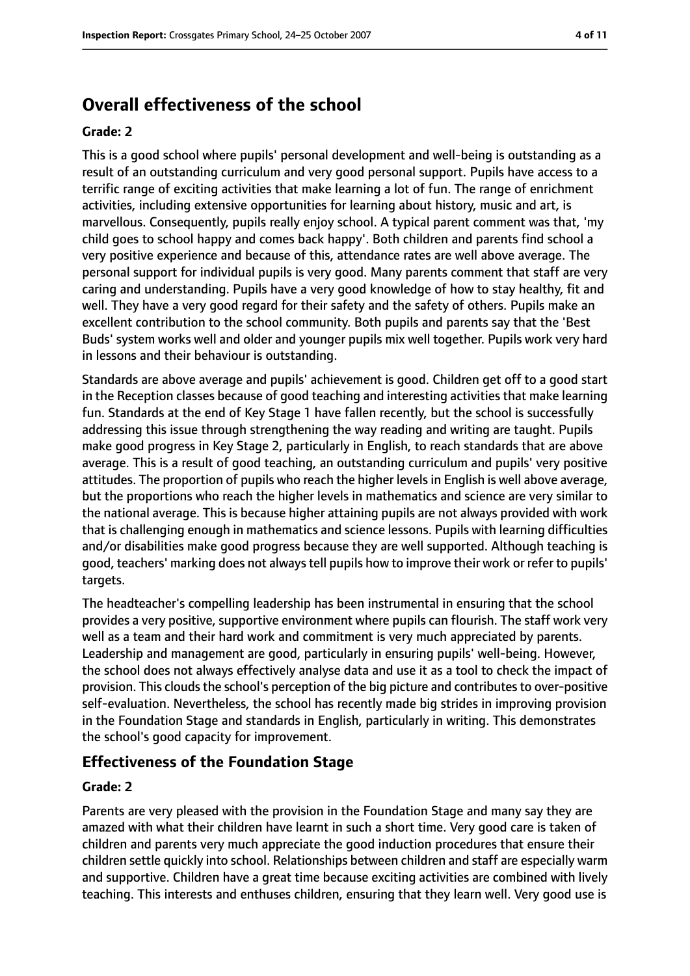# **Overall effectiveness of the school**

#### **Grade: 2**

This is a good school where pupils' personal development and well-being is outstanding as a result of an outstanding curriculum and very good personal support. Pupils have access to a terrific range of exciting activities that make learning a lot of fun. The range of enrichment activities, including extensive opportunities for learning about history, music and art, is marvellous. Consequently, pupils really enjoy school. A typical parent comment was that, 'my child goes to school happy and comes back happy'. Both children and parents find school a very positive experience and because of this, attendance rates are well above average. The personal support for individual pupils is very good. Many parents comment that staff are very caring and understanding. Pupils have a very good knowledge of how to stay healthy, fit and well. They have a very good regard for their safety and the safety of others. Pupils make an excellent contribution to the school community. Both pupils and parents say that the 'Best Buds' system works well and older and younger pupils mix well together. Pupils work very hard in lessons and their behaviour is outstanding.

Standards are above average and pupils' achievement is good. Children get off to a good start in the Reception classes because of good teaching and interesting activities that make learning fun. Standards at the end of Key Stage 1 have fallen recently, but the school is successfully addressing this issue through strengthening the way reading and writing are taught. Pupils make good progress in Key Stage 2, particularly in English, to reach standards that are above average. This is a result of good teaching, an outstanding curriculum and pupils' very positive attitudes. The proportion of pupils who reach the higher levels in English is well above average, but the proportions who reach the higher levels in mathematics and science are very similar to the national average. This is because higher attaining pupils are not always provided with work that is challenging enough in mathematics and science lessons. Pupils with learning difficulties and/or disabilities make good progress because they are well supported. Although teaching is good, teachers' marking does not alwaystell pupils how to improve their work or refer to pupils' targets.

The headteacher's compelling leadership has been instrumental in ensuring that the school provides a very positive, supportive environment where pupils can flourish. The staff work very well as a team and their hard work and commitment is very much appreciated by parents. Leadership and management are good, particularly in ensuring pupils' well-being. However, the school does not always effectively analyse data and use it as a tool to check the impact of provision. This clouds the school's perception of the big picture and contributes to over-positive self-evaluation. Nevertheless, the school has recently made big strides in improving provision in the Foundation Stage and standards in English, particularly in writing. This demonstrates the school's good capacity for improvement.

#### **Effectiveness of the Foundation Stage**

#### **Grade: 2**

Parents are very pleased with the provision in the Foundation Stage and many say they are amazed with what their children have learnt in such a short time. Very good care is taken of children and parents very much appreciate the good induction procedures that ensure their children settle quickly into school. Relationships between children and staff are especially warm and supportive. Children have a great time because exciting activities are combined with lively teaching. This interests and enthuses children, ensuring that they learn well. Very good use is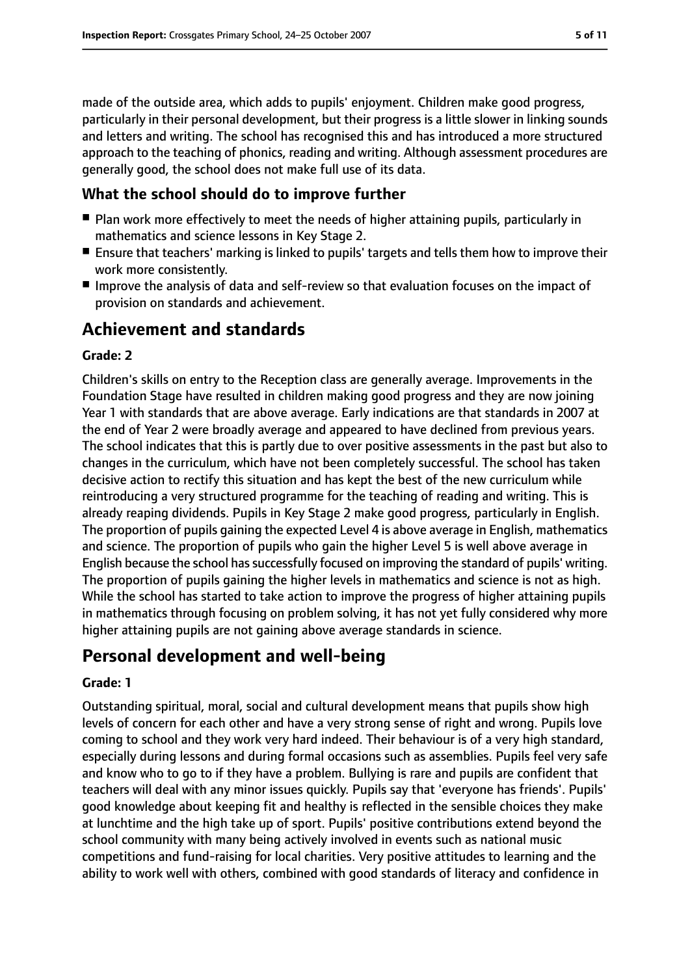made of the outside area, which adds to pupils' enjoyment. Children make good progress, particularly in their personal development, but their progress is a little slower in linking sounds and letters and writing. The school has recognised this and has introduced a more structured approach to the teaching of phonics, reading and writing. Although assessment procedures are generally good, the school does not make full use of its data.

#### **What the school should do to improve further**

- Plan work more effectively to meet the needs of higher attaining pupils, particularly in mathematics and science lessons in Key Stage 2.
- Ensure that teachers' marking is linked to pupils' targets and tells them how to improve their work more consistently.
- Improve the analysis of data and self-review so that evaluation focuses on the impact of provision on standards and achievement.

## **Achievement and standards**

#### **Grade: 2**

Children's skills on entry to the Reception class are generally average. Improvements in the Foundation Stage have resulted in children making good progress and they are now joining Year 1 with standards that are above average. Early indications are that standards in 2007 at the end of Year 2 were broadly average and appeared to have declined from previous years. The school indicates that this is partly due to over positive assessments in the past but also to changes in the curriculum, which have not been completely successful. The school has taken decisive action to rectify this situation and has kept the best of the new curriculum while reintroducing a very structured programme for the teaching of reading and writing. This is already reaping dividends. Pupils in Key Stage 2 make good progress, particularly in English. The proportion of pupils gaining the expected Level 4 is above average in English, mathematics and science. The proportion of pupils who gain the higher Level 5 is well above average in English because the school has successfully focused on improving the standard of pupils' writing. The proportion of pupils gaining the higher levels in mathematics and science is not as high. While the school has started to take action to improve the progress of higher attaining pupils in mathematics through focusing on problem solving, it has not yet fully considered why more higher attaining pupils are not gaining above average standards in science.

## **Personal development and well-being**

#### **Grade: 1**

Outstanding spiritual, moral, social and cultural development means that pupils show high levels of concern for each other and have a very strong sense of right and wrong. Pupils love coming to school and they work very hard indeed. Their behaviour is of a very high standard, especially during lessons and during formal occasions such as assemblies. Pupils feel very safe and know who to go to if they have a problem. Bullying is rare and pupils are confident that teachers will deal with any minor issues quickly. Pupils say that 'everyone has friends'. Pupils' good knowledge about keeping fit and healthy is reflected in the sensible choices they make at lunchtime and the high take up of sport. Pupils' positive contributions extend beyond the school community with many being actively involved in events such as national music competitions and fund-raising for local charities. Very positive attitudes to learning and the ability to work well with others, combined with good standards of literacy and confidence in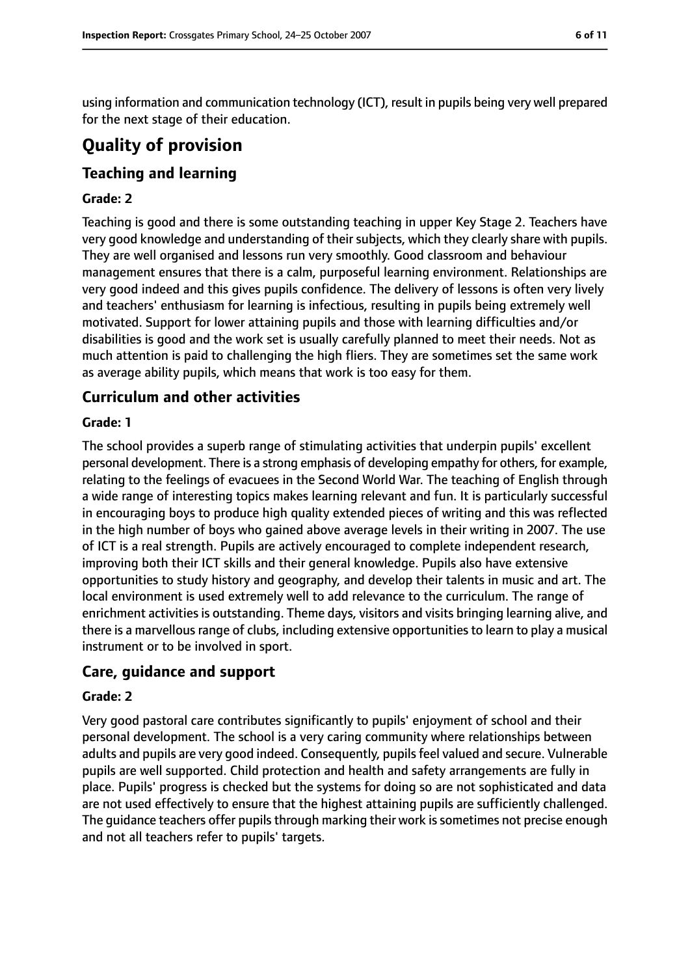using information and communication technology (ICT), result in pupils being very well prepared for the next stage of their education.

# **Quality of provision**

## **Teaching and learning**

#### **Grade: 2**

Teaching is good and there is some outstanding teaching in upper Key Stage 2. Teachers have very good knowledge and understanding of their subjects, which they clearly share with pupils. They are well organised and lessons run very smoothly. Good classroom and behaviour management ensures that there is a calm, purposeful learning environment. Relationships are very good indeed and this gives pupils confidence. The delivery of lessons is often very lively and teachers' enthusiasm for learning is infectious, resulting in pupils being extremely well motivated. Support for lower attaining pupils and those with learning difficulties and/or disabilities is good and the work set is usually carefully planned to meet their needs. Not as much attention is paid to challenging the high fliers. They are sometimes set the same work as average ability pupils, which means that work is too easy for them.

## **Curriculum and other activities**

#### **Grade: 1**

The school provides a superb range of stimulating activities that underpin pupils' excellent personal development. There is a strong emphasis of developing empathy for others, for example, relating to the feelings of evacuees in the Second World War. The teaching of English through a wide range of interesting topics makes learning relevant and fun. It is particularly successful in encouraging boys to produce high quality extended pieces of writing and this was reflected in the high number of boys who gained above average levels in their writing in 2007. The use of ICT is a real strength. Pupils are actively encouraged to complete independent research, improving both their ICT skills and their general knowledge. Pupils also have extensive opportunities to study history and geography, and develop their talents in music and art. The local environment is used extremely well to add relevance to the curriculum. The range of enrichment activities is outstanding. Theme days, visitors and visits bringing learning alive, and there is a marvellous range of clubs, including extensive opportunities to learn to play a musical instrument or to be involved in sport.

## **Care, guidance and support**

#### **Grade: 2**

Very good pastoral care contributes significantly to pupils' enjoyment of school and their personal development. The school is a very caring community where relationships between adults and pupils are very good indeed. Consequently, pupils feel valued and secure. Vulnerable pupils are well supported. Child protection and health and safety arrangements are fully in place. Pupils' progress is checked but the systems for doing so are not sophisticated and data are not used effectively to ensure that the highest attaining pupils are sufficiently challenged. The quidance teachers offer pupils through marking their work is sometimes not precise enough and not all teachers refer to pupils' targets.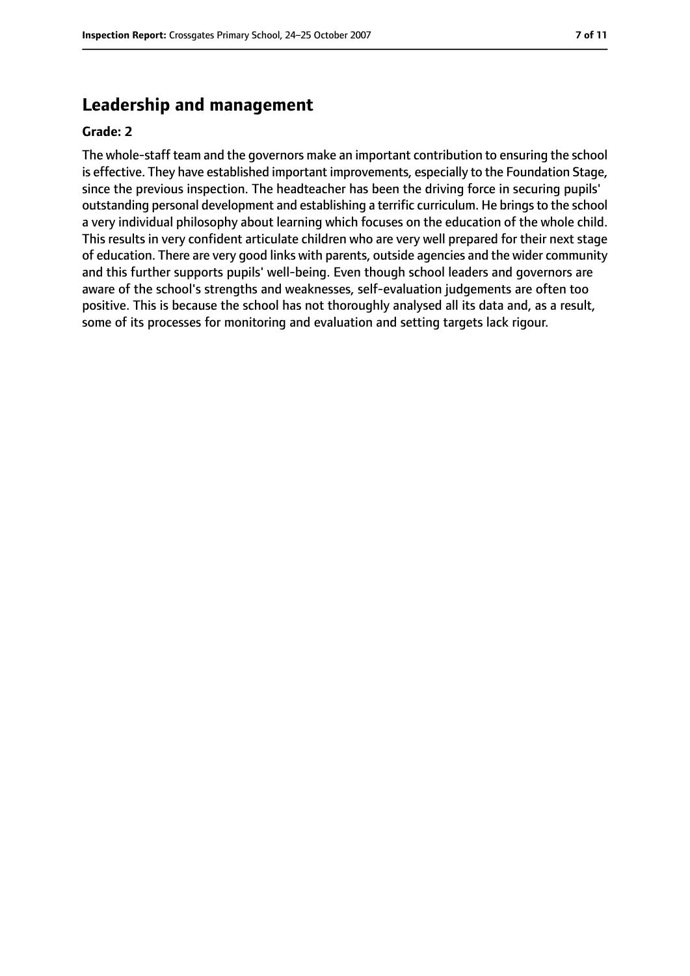## **Leadership and management**

#### **Grade: 2**

The whole-staff team and the governors make an important contribution to ensuring the school is effective. They have established important improvements, especially to the Foundation Stage, since the previous inspection. The headteacher has been the driving force in securing pupils' outstanding personal development and establishing a terrific curriculum. He brings to the school a very individual philosophy about learning which focuses on the education of the whole child. This results in very confident articulate children who are very well prepared for their next stage of education. There are very good links with parents, outside agencies and the wider community and this further supports pupils' well-being. Even though school leaders and governors are aware of the school's strengths and weaknesses, self-evaluation judgements are often too positive. This is because the school has not thoroughly analysed all its data and, as a result, some of its processes for monitoring and evaluation and setting targets lack rigour.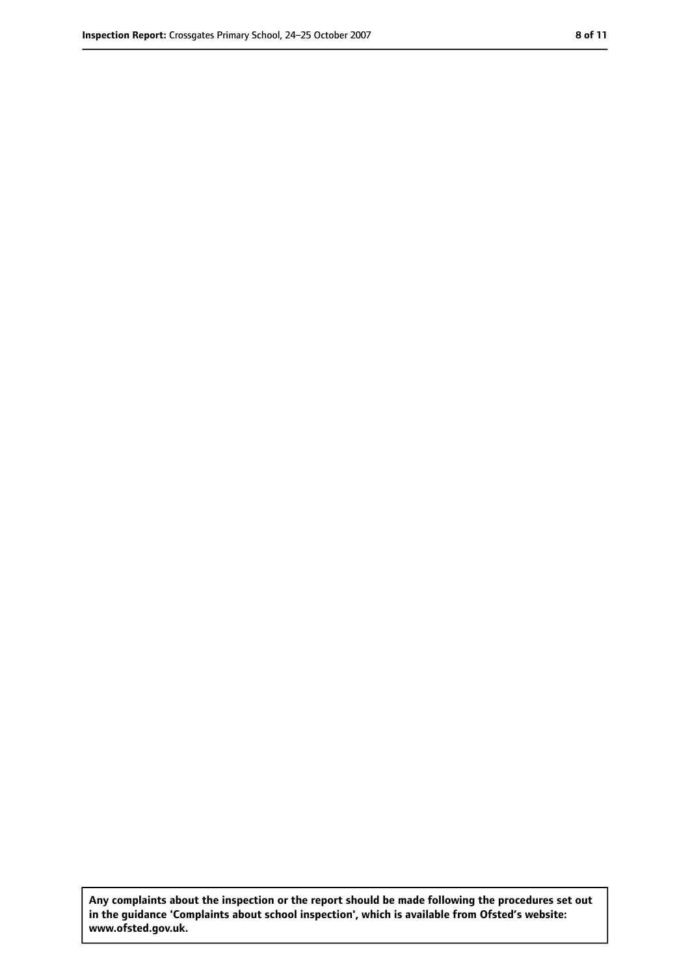**Any complaints about the inspection or the report should be made following the procedures set out in the guidance 'Complaints about school inspection', which is available from Ofsted's website: www.ofsted.gov.uk.**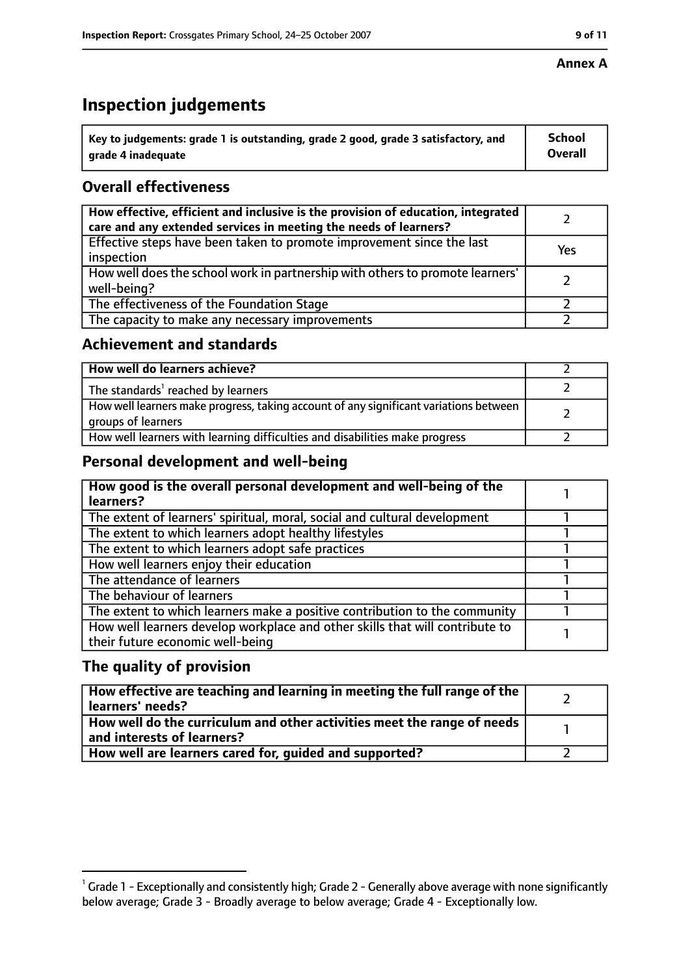#### **Annex A**

## **Inspection judgements**

| $^{\circ}$ Key to judgements: grade 1 is outstanding, grade 2 good, grade 3 satisfactory, and | <b>School</b>  |
|-----------------------------------------------------------------------------------------------|----------------|
| arade 4 inadequate                                                                            | <b>Overall</b> |

## **Overall effectiveness**

| How effective, efficient and inclusive is the provision of education, integrated<br>care and any extended services in meeting the needs of learners? |     |
|------------------------------------------------------------------------------------------------------------------------------------------------------|-----|
| Effective steps have been taken to promote improvement since the last<br>inspection                                                                  | Yes |
| How well does the school work in partnership with others to promote learners'<br>well-being?                                                         |     |
| The effectiveness of the Foundation Stage                                                                                                            |     |
| The capacity to make any necessary improvements                                                                                                      |     |

#### **Achievement and standards**

| How well do learners achieve?                                                                               |  |
|-------------------------------------------------------------------------------------------------------------|--|
| The standards <sup>1</sup> reached by learners                                                              |  |
| How well learners make progress, taking account of any significant variations between<br>groups of learners |  |
| How well learners with learning difficulties and disabilities make progress                                 |  |

### **Personal development and well-being**

| How good is the overall personal development and well-being of the<br>learners?                                  |  |
|------------------------------------------------------------------------------------------------------------------|--|
| The extent of learners' spiritual, moral, social and cultural development                                        |  |
| The extent to which learners adopt healthy lifestyles                                                            |  |
| The extent to which learners adopt safe practices                                                                |  |
| How well learners enjoy their education                                                                          |  |
| The attendance of learners                                                                                       |  |
| The behaviour of learners                                                                                        |  |
| The extent to which learners make a positive contribution to the community                                       |  |
| How well learners develop workplace and other skills that will contribute to<br>their future economic well-being |  |

### **The quality of provision**

| How effective are teaching and learning in meeting the full range of the<br>learners' needs?          |  |
|-------------------------------------------------------------------------------------------------------|--|
| How well do the curriculum and other activities meet the range of needs<br>and interests of learners? |  |
| How well are learners cared for, guided and supported?                                                |  |

 $^1$  Grade 1 - Exceptionally and consistently high; Grade 2 - Generally above average with none significantly below average; Grade 3 - Broadly average to below average; Grade 4 - Exceptionally low.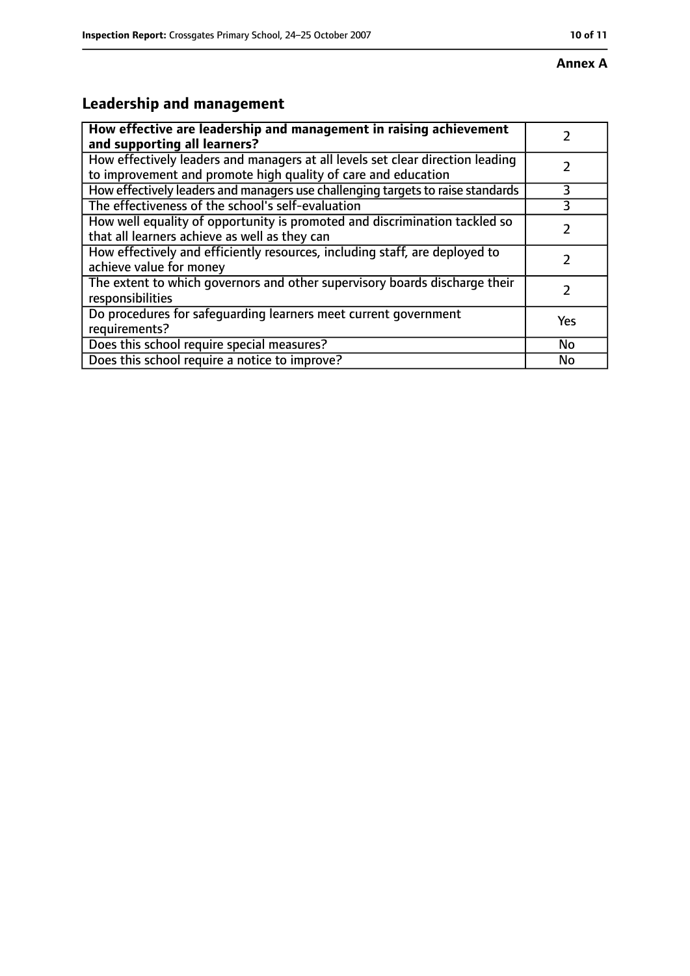# **Leadership and management**

| How effective are leadership and management in raising achievement<br>and supporting all learners?                                              |           |
|-------------------------------------------------------------------------------------------------------------------------------------------------|-----------|
| How effectively leaders and managers at all levels set clear direction leading<br>to improvement and promote high quality of care and education |           |
| How effectively leaders and managers use challenging targets to raise standards                                                                 | 3         |
| The effectiveness of the school's self-evaluation                                                                                               | 3         |
| How well equality of opportunity is promoted and discrimination tackled so<br>that all learners achieve as well as they can                     |           |
| How effectively and efficiently resources, including staff, are deployed to<br>achieve value for money                                          |           |
| The extent to which governors and other supervisory boards discharge their<br>responsibilities                                                  |           |
| Do procedures for safequarding learners meet current government<br>requirements?                                                                | Yes       |
| Does this school require special measures?                                                                                                      | <b>No</b> |
| Does this school require a notice to improve?                                                                                                   | No        |